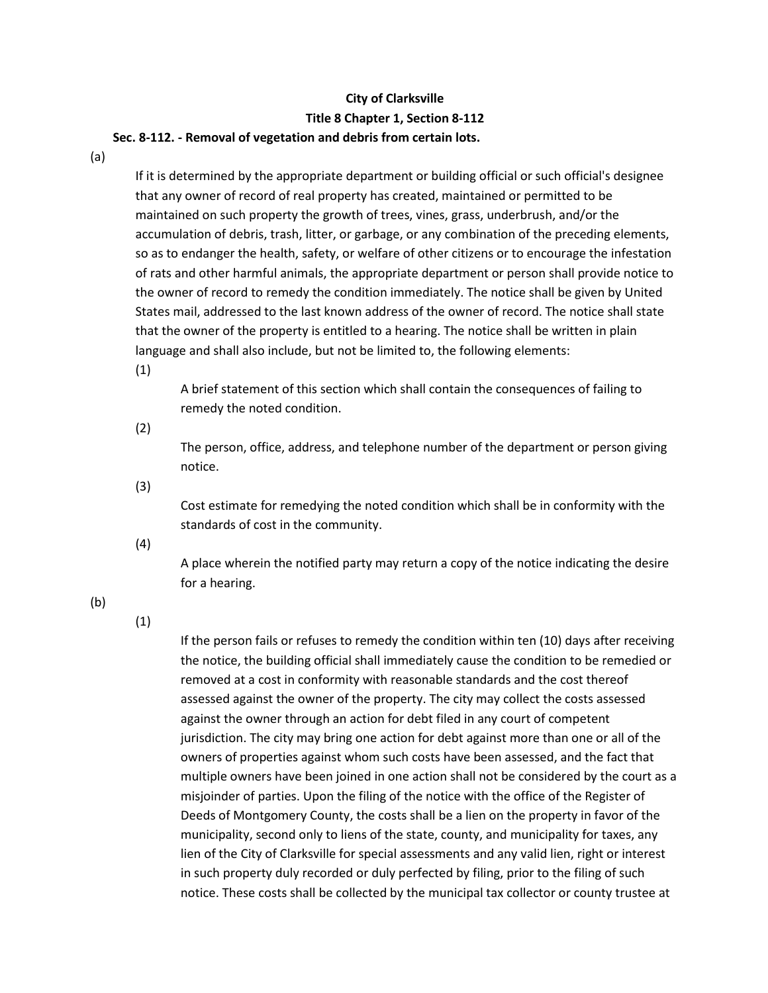## **City of Clarksville Title 8 Chapter 1, Section 8-112**

## **Sec. 8-112. - Removal of vegetation and debris from certain lots.**

(a)

If it is determined by the appropriate department or building official or such official's designee that any owner of record of real property has created, maintained or permitted to be maintained on such property the growth of trees, vines, grass, underbrush, and/or the accumulation of debris, trash, litter, or garbage, or any combination of the preceding elements, so as to endanger the health, safety, or welfare of other citizens or to encourage the infestation of rats and other harmful animals, the appropriate department or person shall provide notice to the owner of record to remedy the condition immediately. The notice shall be given by United States mail, addressed to the last known address of the owner of record. The notice shall state that the owner of the property is entitled to a hearing. The notice shall be written in plain language and shall also include, but not be limited to, the following elements:

(1)

A brief statement of this section which shall contain the consequences of failing to remedy the noted condition.

(2)

The person, office, address, and telephone number of the department or person giving notice.

(3)

Cost estimate for remedying the noted condition which shall be in conformity with the standards of cost in the community.

(4)

A place wherein the notified party may return a copy of the notice indicating the desire for a hearing.

(b)

(1)

If the person fails or refuses to remedy the condition within ten (10) days after receiving the notice, the building official shall immediately cause the condition to be remedied or removed at a cost in conformity with reasonable standards and the cost thereof assessed against the owner of the property. The city may collect the costs assessed against the owner through an action for debt filed in any court of competent jurisdiction. The city may bring one action for debt against more than one or all of the owners of properties against whom such costs have been assessed, and the fact that multiple owners have been joined in one action shall not be considered by the court as a misjoinder of parties. Upon the filing of the notice with the office of the Register of Deeds of Montgomery County, the costs shall be a lien on the property in favor of the municipality, second only to liens of the state, county, and municipality for taxes, any lien of the City of Clarksville for special assessments and any valid lien, right or interest in such property duly recorded or duly perfected by filing, prior to the filing of such notice. These costs shall be collected by the municipal tax collector or county trustee at